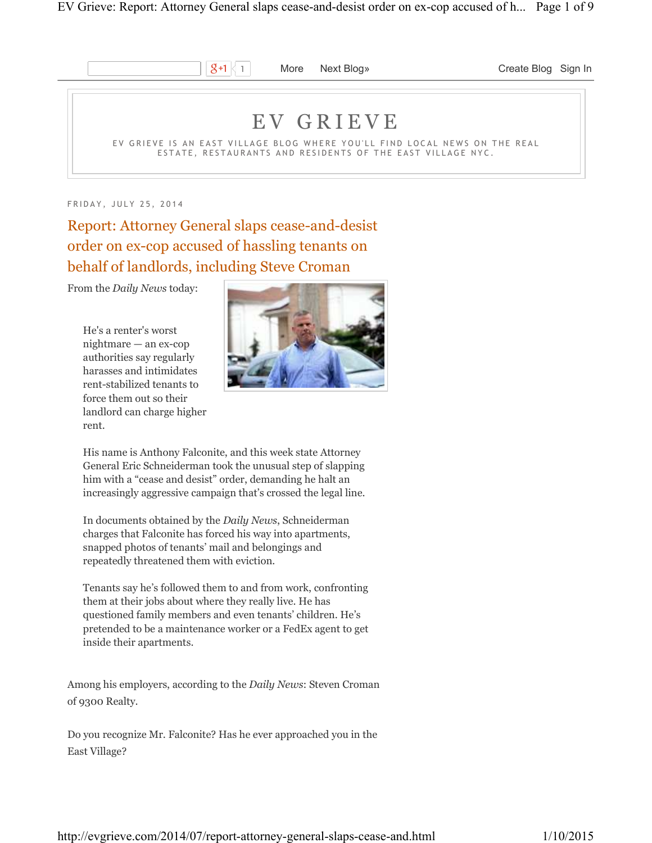

 $\mathcal{S}$ +1 | More Next Blog» Create Blog Sign In

# E V G R I E V E

EV GRIEVE IS AN EAST VILLAGE BLOG WHERE YOU'LL FIND LOCAL NEWS ON THE REAL ESTATE, RESTAURANTS AND RESIDENTS OF THE EAST VILLAGE NYC.

FRIDAY, JULY 25, 2014

Report: Attorney General slaps cease-and-desist order on ex-cop accused of hassling tenants on behalf of landlords, including Steve Croman

From the *Daily News* today:

He's a renter's worst nightmare — an ex-cop authorities say regularly harasses and intimidates rent-stabilized tenants to force them out so their landlord can charge higher rent.



His name is Anthony Falconite, and this week state Attorney General Eric Schneiderman took the unusual step of slapping him with a "cease and desist" order, demanding he halt an increasingly aggressive campaign that's crossed the legal line.

In documents obtained by the *Daily News*, Schneiderman charges that Falconite has forced his way into apartments, snapped photos of tenants' mail and belongings and repeatedly threatened them with eviction.

Tenants say he's followed them to and from work, confronting them at their jobs about where they really live. He has questioned family members and even tenants' children. He's pretended to be a maintenance worker or a FedEx agent to get inside their apartments.

Among his employers, according to the *Daily News*: Steven Croman of 9300 Realty.

Do you recognize Mr. Falconite? Has he ever approached you in the East Village?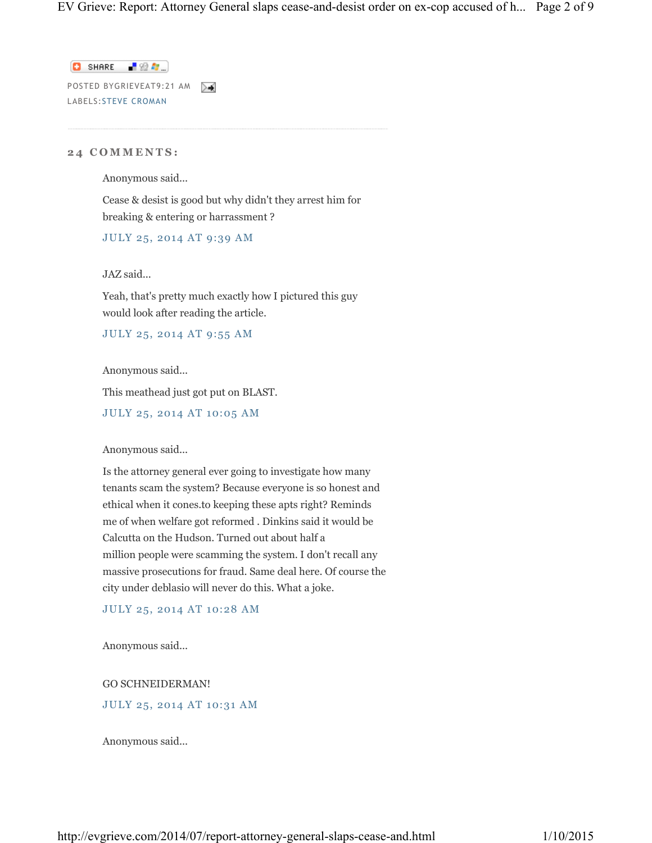$\Box$  SHARE  $\Box$   $\Omega$   $\Omega$ POSTED BYGRIEVEAT9:21 AM LABELS:STEVE CROMAN

## **2 4 C O M M E N T S :**

Anonymous said...

Cease & desist is good but why didn't they arrest him for breaking & entering or harrassment ?

JULY 25, 2014 AT 9:39 AM

JAZ said...

Yeah, that's pretty much exactly how I pictured this guy would look after reading the article.

JULY 25, 2014 AT 9:55 AM

Anonymous said...

This meathead just got put on BLAST.

JULY 25, 2014 AT 10:05 AM

Anonymous said...

Is the attorney general ever going to investigate how many tenants scam the system? Because everyone is so honest and ethical when it cones.to keeping these apts right? Reminds me of when welfare got reformed . Dinkins said it would be Calcutta on the Hudson. Turned out about half a million people were scamming the system. I don't recall any massive prosecutions for fraud. Same deal here. Of course the city under deblasio will never do this. What a joke.

JULY 25, 2014 AT 10:28 AM

Anonymous said...

GO SCHNEIDERMAN!

JULY 25, 2014 AT 10:31 AM

Anonymous said...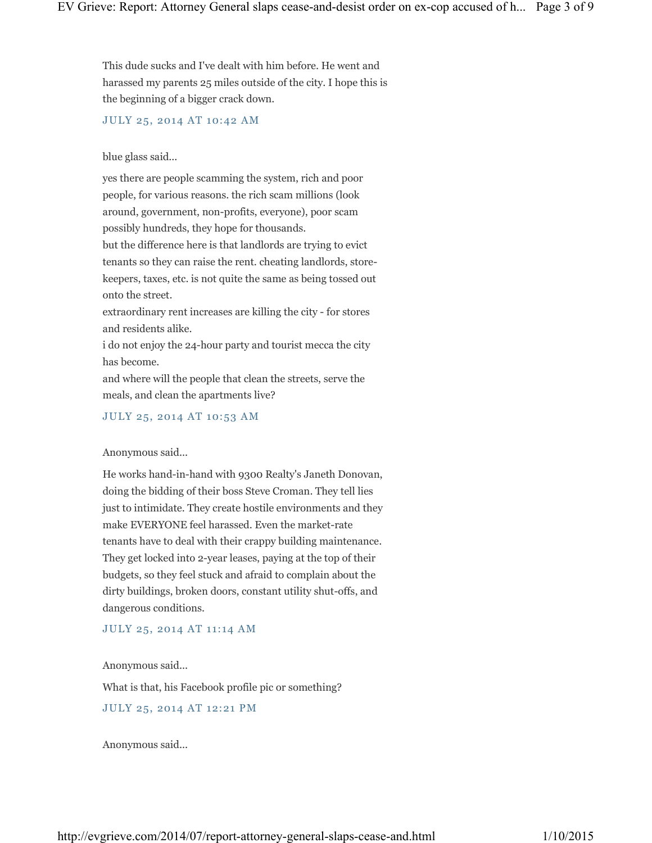This dude sucks and I've dealt with him before. He went and harassed my parents 25 miles outside of the city. I hope this is the beginning of a bigger crack down.

JULY 25, 2014 AT 10:42 AM

## blue glass said...

yes there are people scamming the system, rich and poor people, for various reasons. the rich scam millions (look around, government, non-profits, everyone), poor scam possibly hundreds, they hope for thousands.

but the difference here is that landlords are trying to evict tenants so they can raise the rent. cheating landlords, storekeepers, taxes, etc. is not quite the same as being tossed out onto the street.

extraordinary rent increases are killing the city - for stores and residents alike.

i do not enjoy the 24-hour party and tourist mecca the city has become.

and where will the people that clean the streets, serve the meals, and clean the apartments live?

## JULY 25, 2014 AT 10:53 AM

#### Anonymous said...

He works hand-in-hand with 9300 Realty's Janeth Donovan, doing the bidding of their boss Steve Croman. They tell lies just to intimidate. They create hostile environments and they make EVERYONE feel harassed. Even the market-rate tenants have to deal with their crappy building maintenance. They get locked into 2-year leases, paying at the top of their budgets, so they feel stuck and afraid to complain about the dirty buildings, broken doors, constant utility shut-offs, and dangerous conditions.

### JULY 25, 2014 AT 11:14 AM

Anonymous said...

What is that, his Facebook profile pic or something?

## JULY 25, 2014 AT 12:21 PM

Anonymous said...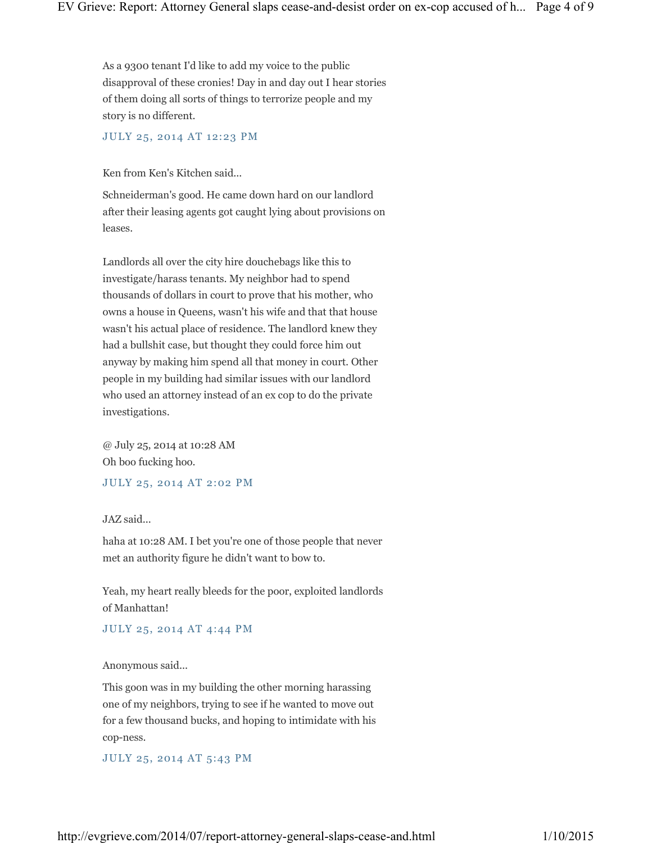As a 9300 tenant I'd like to add my voice to the public disapproval of these cronies! Day in and day out I hear stories of them doing all sorts of things to terrorize people and my story is no different.

JULY 25, 2014 AT 12:23 PM

Ken from Ken's Kitchen said...

Schneiderman's good. He came down hard on our landlord after their leasing agents got caught lying about provisions on leases.

Landlords all over the city hire douchebags like this to investigate/harass tenants. My neighbor had to spend thousands of dollars in court to prove that his mother, who owns a house in Queens, wasn't his wife and that that house wasn't his actual place of residence. The landlord knew they had a bullshit case, but thought they could force him out anyway by making him spend all that money in court. Other people in my building had similar issues with our landlord who used an attorney instead of an ex cop to do the private investigations.

@ July 25, 2014 at 10:28 AM Oh boo fucking hoo.

JULY 25, 2014 AT 2:02 PM

JAZ said...

haha at 10:28 AM. I bet you're one of those people that never met an authority figure he didn't want to bow to.

Yeah, my heart really bleeds for the poor, exploited landlords of Manhattan!

JULY 25, 2014 AT 4:44 PM

Anonymous said...

This goon was in my building the other morning harassing one of my neighbors, trying to see if he wanted to move out for a few thousand bucks, and hoping to intimidate with his cop-ness.

JULY 25, 2014 AT 5:43 PM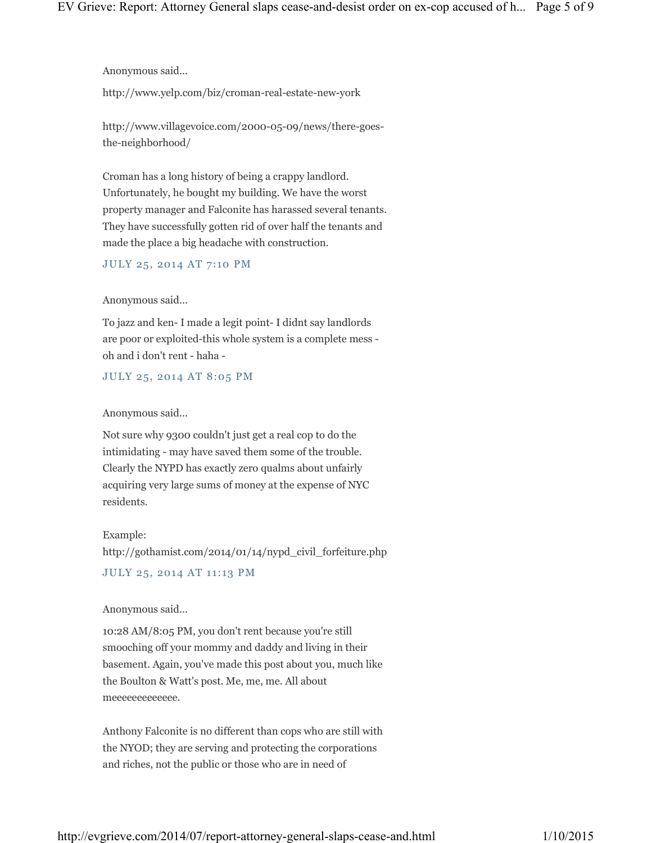Anonymous said...

http://www.yelp.com/biz/croman-real-estate-new-york

http://www.villagevoice.com/2000-05-09/news/there-goesthe-neighborhood/

Croman has a long history of being a crappy landlord. Unfortunately, he bought my building. We have the worst property manager and Falconite has harassed several tenants. They have successfully gotten rid of over half the tenants and made the place a big headache with construction.

JULY 25, 2014 AT 7:10 PM

Anonymous said...

To jazz and ken- I made a legit point- I didnt say landlords are poor or exploited-this whole system is a complete mess oh and i don't rent - haha -

JULY 25, 2014 AT 8:05 PM

Anonymous said...

Not sure why 9300 couldn't just get a real cop to do the intimidating - may have saved them some of the trouble. Clearly the NYPD has exactly zero qualms about unfairly acquiring very large sums of money at the expense of NYC residents.

Example:

http://gothamist.com/2014/01/14/nypd\_civil\_forfeiture.php JULY 25, 2014 AT 11:13 PM

Anonymous said...

10:28 AM/8:05 PM, you don't rent because you're still smooching off your mommy and daddy and living in their basement. Again, you've made this post about you, much like the Boulton & Watt's post. Me, me, me. All about meeeeeeeeeeeee.

Anthony Falconite is no different than cops who are still with the NYOD; they are serving and protecting the corporations and riches, not the public or those who are in need of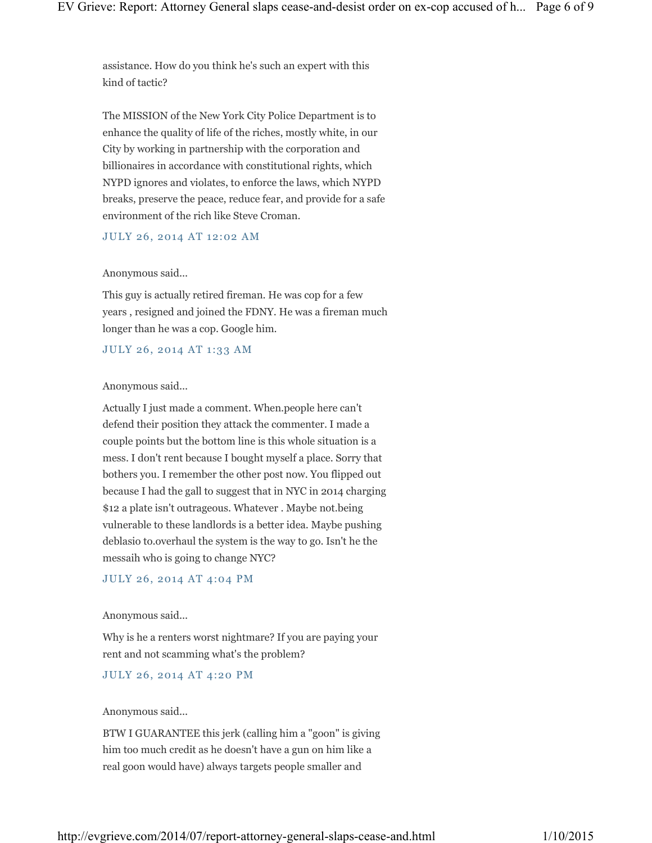assistance. How do you think he's such an expert with this kind of tactic?

The MISSION of the New York City Police Department is to enhance the quality of life of the riches, mostly white, in our City by working in partnership with the corporation and billionaires in accordance with constitutional rights, which NYPD ignores and violates, to enforce the laws, which NYPD breaks, preserve the peace, reduce fear, and provide for a safe environment of the rich like Steve Croman.

JULY 26, 2014 AT 12:02 AM

#### Anonymous said...

This guy is actually retired fireman. He was cop for a few years , resigned and joined the FDNY. He was a fireman much longer than he was a cop. Google him.

JULY 26, 2014 AT 1:33 AM

#### Anonymous said...

Actually I just made a comment. When.people here can't defend their position they attack the commenter. I made a couple points but the bottom line is this whole situation is a mess. I don't rent because I bought myself a place. Sorry that bothers you. I remember the other post now. You flipped out because I had the gall to suggest that in NYC in 2014 charging \$12 a plate isn't outrageous. Whatever . Maybe not.being vulnerable to these landlords is a better idea. Maybe pushing deblasio to.overhaul the system is the way to go. Isn't he the messaih who is going to change NYC?

JULY 26, 2014 AT 4:04 PM

#### Anonymous said...

Why is he a renters worst nightmare? If you are paying your rent and not scamming what's the problem?

JULY 26, 2014 AT 4:20 PM

#### Anonymous said...

BTW I GUARANTEE this jerk (calling him a "goon" is giving him too much credit as he doesn't have a gun on him like a real goon would have) always targets people smaller and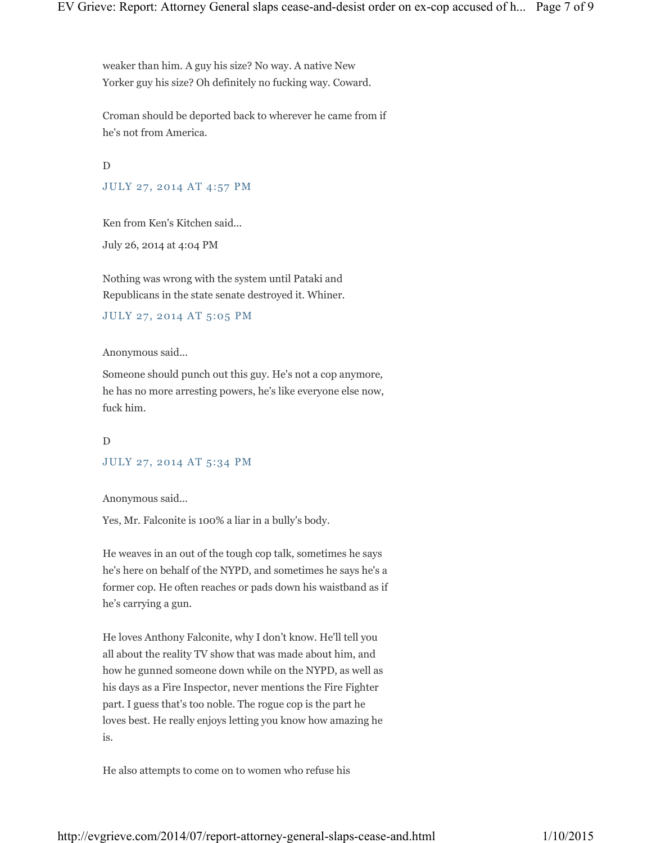weaker than him. A guy his size? No way. A native New Yorker guy his size? Oh definitely no fucking way. Coward.

Croman should be deported back to wherever he came from if he's not from America.

D JULY 27, 2014 AT 4:57 PM

Ken from Ken's Kitchen said...

July 26, 2014 at 4:04 PM

Nothing was wrong with the system until Pataki and Republicans in the state senate destroyed it. Whiner.

## JULY 27, 2014 AT 5:05 PM

Anonymous said...

Someone should punch out this guy. He's not a cop anymore, he has no more arresting powers, he's like everyone else now, fuck him.

D JULY 27, 2014 AT 5:34 PM

Anonymous said...

Yes, Mr. Falconite is 100% a liar in a bully's body.

He weaves in an out of the tough cop talk, sometimes he says he's here on behalf of the NYPD, and sometimes he says he's a former cop. He often reaches or pads down his waistband as if he's carrying a gun.

He loves Anthony Falconite, why I don't know. He'll tell you all about the reality TV show that was made about him, and how he gunned someone down while on the NYPD, as well as his days as a Fire Inspector, never mentions the Fire Fighter part. I guess that's too noble. The rogue cop is the part he loves best. He really enjoys letting you know how amazing he is.

He also attempts to come on to women who refuse his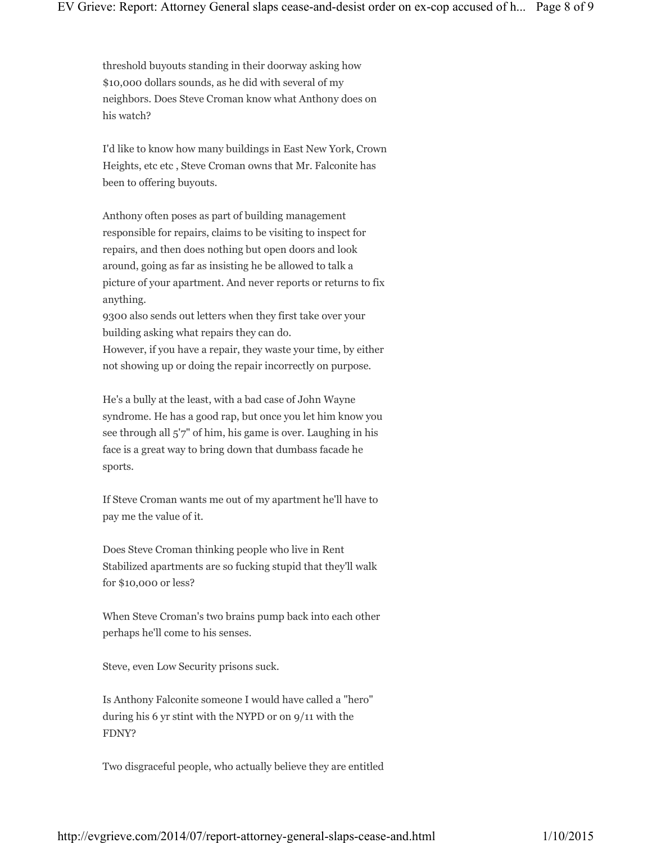threshold buyouts standing in their doorway asking how \$10,000 dollars sounds, as he did with several of my neighbors. Does Steve Croman know what Anthony does on his watch?

I'd like to know how many buildings in East New York, Crown Heights, etc etc , Steve Croman owns that Mr. Falconite has been to offering buyouts.

Anthony often poses as part of building management responsible for repairs, claims to be visiting to inspect for repairs, and then does nothing but open doors and look around, going as far as insisting he be allowed to talk a picture of your apartment. And never reports or returns to fix anything.

9300 also sends out letters when they first take over your building asking what repairs they can do. However, if you have a repair, they waste your time, by either

not showing up or doing the repair incorrectly on purpose.

He's a bully at the least, with a bad case of John Wayne syndrome. He has a good rap, but once you let him know you see through all 5'7" of him, his game is over. Laughing in his face is a great way to bring down that dumbass facade he sports.

If Steve Croman wants me out of my apartment he'll have to pay me the value of it.

Does Steve Croman thinking people who live in Rent Stabilized apartments are so fucking stupid that they'll walk for \$10,000 or less?

When Steve Croman's two brains pump back into each other perhaps he'll come to his senses.

Steve, even Low Security prisons suck.

Is Anthony Falconite someone I would have called a "hero" during his 6 yr stint with the NYPD or on 9/11 with the FDNY?

Two disgraceful people, who actually believe they are entitled